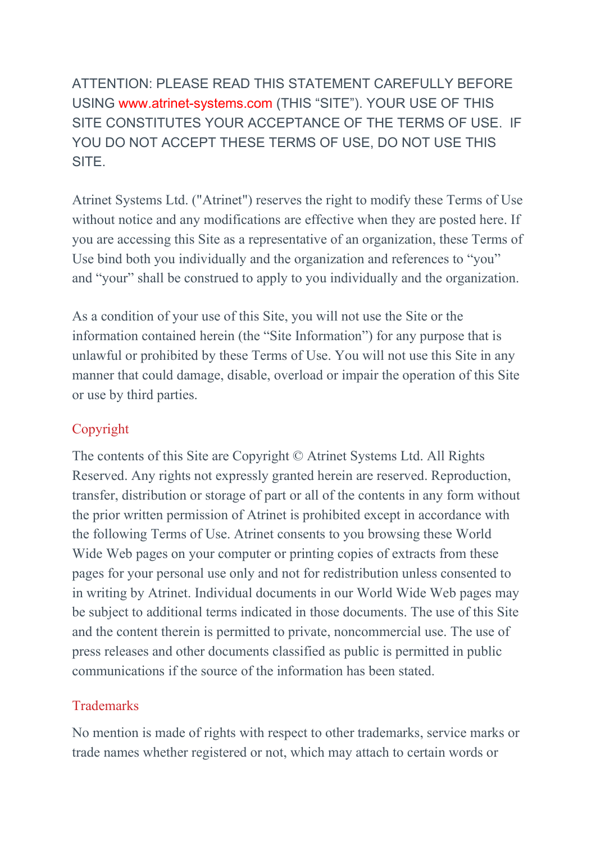ATTENTION: PLEASE READ THIS STATEMENT CAREFULLY BEFORE USING www.atrinet-systems.com (THIS "SITE"). YOUR USE OF THIS SITE CONSTITUTES YOUR ACCEPTANCE OF THE TERMS OF USE. IF YOU DO NOT ACCEPT THESE TERMS OF USE, DO NOT USE THIS SITE.

Atrinet Systems Ltd. ("Atrinet") reserves the right to modify these Terms of Use without notice and any modifications are effective when they are posted here. If you are accessing this Site as a representative of an organization, these Terms of Use bind both you individually and the organization and references to "you" and "your" shall be construed to apply to you individually and the organization.

As a condition of your use of this Site, you will not use the Site or the information contained herein (the "Site Information") for any purpose that is unlawful or prohibited by these Terms of Use. You will not use this Site in any manner that could damage, disable, overload or impair the operation of this Site or use by third parties.

# Copyright

The contents of this Site are Copyright © Atrinet Systems Ltd. All Rights Reserved. Any rights not expressly granted herein are reserved. Reproduction, transfer, distribution or storage of part or all of the contents in any form without the prior written permission of Atrinet is prohibited except in accordance with the following Terms of Use. Atrinet consents to you browsing these World Wide Web pages on your computer or printing copies of extracts from these pages for your personal use only and not for redistribution unless consented to in writing by Atrinet. Individual documents in our World Wide Web pages may be subject to additional terms indicated in those documents. The use of this Site and the content therein is permitted to private, noncommercial use. The use of press releases and other documents classified as public is permitted in public communications if the source of the information has been stated.

# **Trademarks**

No mention is made of rights with respect to other trademarks, service marks or trade names whether registered or not, which may attach to certain words or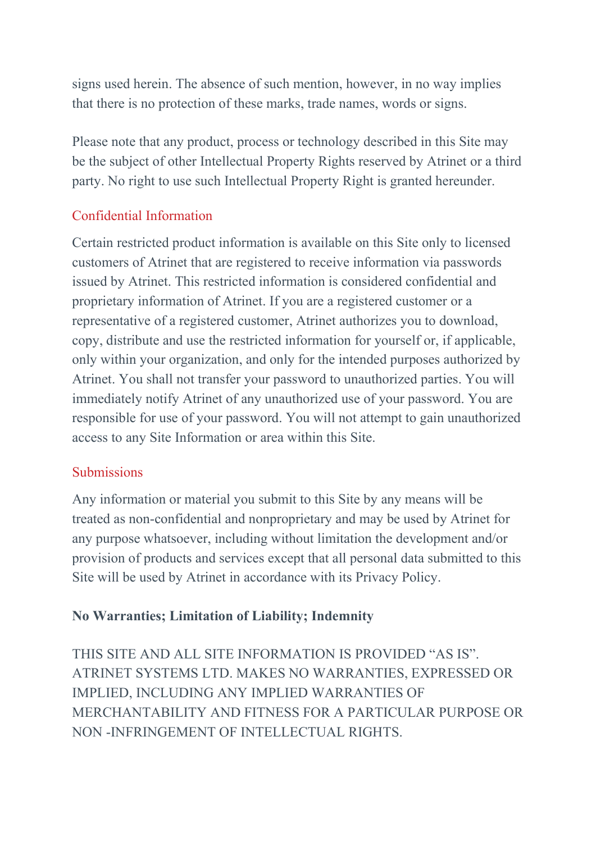signs used herein. The absence of such mention, however, in no way implies that there is no protection of these marks, trade names, words or signs.

Please note that any product, process or technology described in this Site may be the subject of other Intellectual Property Rights reserved by Atrinet or a third party. No right to use such Intellectual Property Right is granted hereunder.

# Confidential Information

Certain restricted product information is available on this Site only to licensed customers of Atrinet that are registered to receive information via passwords issued by Atrinet. This restricted information is considered confidential and proprietary information of Atrinet. If you are a registered customer or a representative of a registered customer, Atrinet authorizes you to download, copy, distribute and use the restricted information for yourself or, if applicable, only within your organization, and only for the intended purposes authorized by Atrinet. You shall not transfer your password to unauthorized parties. You will immediately notify Atrinet of any unauthorized use of your password. You are responsible for use of your password. You will not attempt to gain unauthorized access to any Site Information or area within this Site.

### **Submissions**

Any information or material you submit to this Site by any means will be treated as non-confidential and nonproprietary and may be used by Atrinet for any purpose whatsoever, including without limitation the development and/or provision of products and services except that all personal data submitted to this Site will be used by Atrinet in accordance with its Privacy Policy.

# **No Warranties; Limitation of Liability; Indemnity**

THIS SITE AND ALL SITE INFORMATION IS PROVIDED "AS IS". ATRINET SYSTEMS LTD. MAKES NO WARRANTIES, EXPRESSED OR IMPLIED, INCLUDING ANY IMPLIED WARRANTIES OF MERCHANTABILITY AND FITNESS FOR A PARTICULAR PURPOSE OR NON -INFRINGEMENT OF INTELLECTUAL RIGHTS.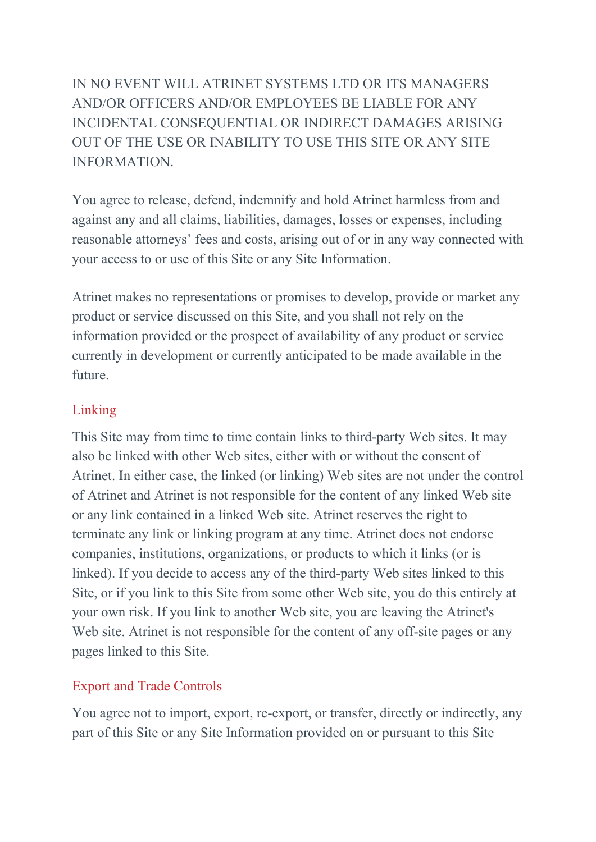IN NO EVENT WILL ATRINET SYSTEMS LTD OR ITS MANAGERS AND/OR OFFICERS AND/OR EMPLOYEES BE LIABLE FOR ANY INCIDENTAL CONSEQUENTIAL OR INDIRECT DAMAGES ARISING OUT OF THE USE OR INABILITY TO USE THIS SITE OR ANY SITE INFORMATION.

You agree to release, defend, indemnify and hold Atrinet harmless from and against any and all claims, liabilities, damages, losses or expenses, including reasonable attorneys' fees and costs, arising out of or in any way connected with your access to or use of this Site or any Site Information.

Atrinet makes no representations or promises to develop, provide or market any product or service discussed on this Site, and you shall not rely on the information provided or the prospect of availability of any product or service currently in development or currently anticipated to be made available in the future.

### Linking

This Site may from time to time contain links to third-party Web sites. It may also be linked with other Web sites, either with or without the consent of Atrinet. In either case, the linked (or linking) Web sites are not under the control of Atrinet and Atrinet is not responsible for the content of any linked Web site or any link contained in a linked Web site. Atrinet reserves the right to terminate any link or linking program at any time. Atrinet does not endorse companies, institutions, organizations, or products to which it links (or is linked). If you decide to access any of the third-party Web sites linked to this Site, or if you link to this Site from some other Web site, you do this entirely at your own risk. If you link to another Web site, you are leaving the Atrinet's Web site. Atrinet is not responsible for the content of any off-site pages or any pages linked to this Site.

### Export and Trade Controls

You agree not to import, export, re-export, or transfer, directly or indirectly, any part of this Site or any Site Information provided on or pursuant to this Site